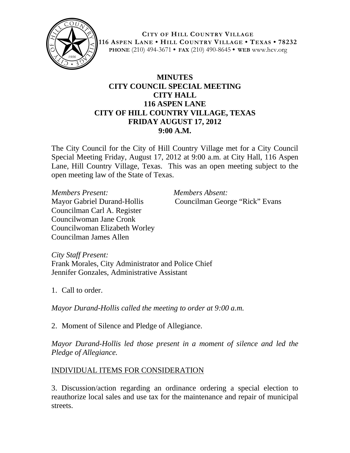

**CITY OF HILL COUNTRY VILLAGE 116 ASPEN LANE • HILL COUNTRY VILLAGE • TEXAS • 78232 PHONE** (210) 494-3671 **• FAX** (210) 490-8645 **• WEB** www.hcv.org

## **MINUTES CITY COUNCIL SPECIAL MEETING CITY HALL 116 ASPEN LANE CITY OF HILL COUNTRY VILLAGE, TEXAS FRIDAY AUGUST 17, 2012 9:00 A.M.**

The City Council for the City of Hill Country Village met for a City Council Special Meeting Friday, August 17, 2012 at 9:00 a.m. at City Hall, 116 Aspen Lane, Hill Country Village, Texas. This was an open meeting subject to the open meeting law of the State of Texas.

*Members Present: Members Absent:* Councilman Carl A. Register Councilwoman Jane Cronk Councilwoman Elizabeth Worley Councilman James Allen

Mayor Gabriel Durand-Hollis Councilman George "Rick" Evans

*City Staff Present:* Frank Morales, City Administrator and Police Chief Jennifer Gonzales, Administrative Assistant

1. Call to order.

*Mayor Durand-Hollis called the meeting to order at 9:00 a.m.*

2. Moment of Silence and Pledge of Allegiance.

*Mayor Durand-Hollis led those present in a moment of silence and led the Pledge of Allegiance.*

## INDIVIDUAL ITEMS FOR CONSIDERATION

3. Discussion/action regarding an ordinance ordering a special election to reauthorize local sales and use tax for the maintenance and repair of municipal streets.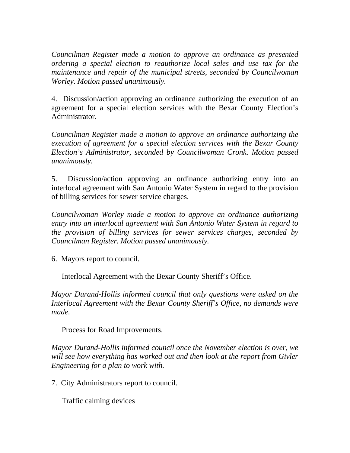*Councilman Register made a motion to approve an ordinance as presented ordering a special election to reauthorize local sales and use tax for the maintenance and repair of the municipal streets, seconded by Councilwoman Worley. Motion passed unanimously.*

4. Discussion/action approving an ordinance authorizing the execution of an agreement for a special election services with the Bexar County Election's Administrator.

*Councilman Register made a motion to approve an ordinance authorizing the execution of agreement for a special election services with the Bexar County Election's Administrator, seconded by Councilwoman Cronk. Motion passed unanimously.*

5. Discussion/action approving an ordinance authorizing entry into an interlocal agreement with San Antonio Water System in regard to the provision of billing services for sewer service charges.

*Councilwoman Worley made a motion to approve an ordinance authorizing entry into an interlocal agreement with San Antonio Water System in regard to the provision of billing services for sewer services charges, seconded by Councilman Register. Motion passed unanimously.*

6. Mayors report to council.

Interlocal Agreement with the Bexar County Sheriff's Office.

*Mayor Durand-Hollis informed council that only questions were asked on the Interlocal Agreement with the Bexar County Sheriff's Office, no demands were made.*

Process for Road Improvements.

*Mayor Durand-Hollis informed council once the November election is over, we will see how everything has worked out and then look at the report from Givler Engineering for a plan to work with.*

7. City Administrators report to council.

Traffic calming devices